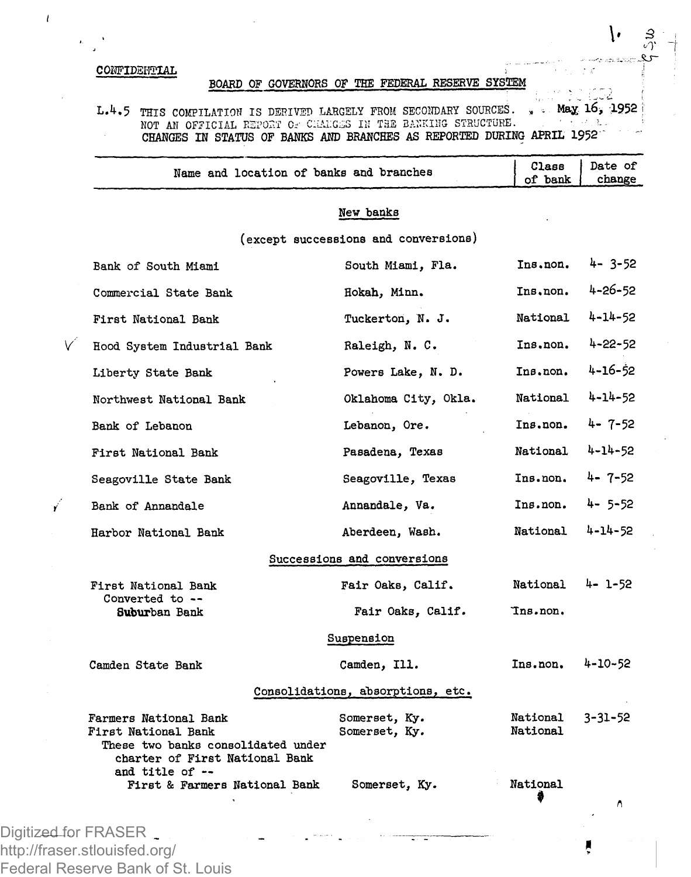## **COHFIDSi'lTIAL**

 $\mathbf{r}$ 

# **BOARD OF GOVERNORS OF THE FEDERAL RESERVE SYSTEM**

**L.4.5 THIS COMPILATION IS DERIVED LARGELY FROM SECONDARY SOURCES. NOT All OFFICIAL REPORT Os CliALGiSS III THE BACKING STRUCTURE. ' •. . ? CHANGES H STATUS OF BANKS AND BRANCHES AS REPORTED DURING APRIL 1952 Max ;1952 I**

|   | Name and location of banks and branches                                                                              |                                      | Class<br>of bank     | Date of<br>change |
|---|----------------------------------------------------------------------------------------------------------------------|--------------------------------------|----------------------|-------------------|
|   |                                                                                                                      | New banks                            |                      |                   |
|   |                                                                                                                      | (except successions and conversions) |                      |                   |
|   | Bank of South Miami                                                                                                  | South Miami, Fla.                    | Ins.non.             | $4 - 3 - 52$      |
|   | Commercial State Bank                                                                                                | Hokah, Minn.                         | Ins.non.             | 4-26-52           |
|   | First National Bank                                                                                                  | Tuckerton, N. J.                     | National             | 4-14-52           |
| V | Hood System Industrial Bank                                                                                          | Raleigh, N. C.                       | Ins.non.             | $4 - 22 - 52$     |
|   | Liberty State Bank                                                                                                   | Powers Lake, N. D.                   | Ins.non.             | 4-16-52           |
|   | Northwest National Bank                                                                                              | Oklahoma City, Okla.                 | National             | 4-14-52           |
|   | Bank of Lebanon                                                                                                      | Lebanon, Ore.                        | Ins.non.             | 4-7-52            |
|   | First National Bank                                                                                                  | Pasadena, Texas                      | National             | 4-14-52           |
|   | Seagoville State Bank                                                                                                | Seagoville, Texas                    | Ins.non.             | 4-7-52            |
| Ý | Bank of Annandale                                                                                                    | Annandale, Va.                       | Ins.non.             | $4 - 5 - 52$      |
|   | Harbor National Bank                                                                                                 | Aberdeen, Wash.                      | National             | 4-14-52           |
|   |                                                                                                                      | Successions and conversions          |                      |                   |
|   | First National Bank                                                                                                  | Fair Oaks, Calif.                    | National             | 4- 1-52           |
|   | Converted to --<br>Suburban Bank                                                                                     | Fair Oaks, Calif.                    | Ins.non.             |                   |
|   |                                                                                                                      | Suspension                           |                      |                   |
|   | Camden State Bank                                                                                                    | Camden, Ill.                         | Ins.non.             | 4-10-52           |
|   |                                                                                                                      | Consolidations, absorptions, etc.    |                      |                   |
|   | Farmers National Bank<br>First National Bank<br>These two banks consolidated under<br>charter of First National Bank | Somerset, Ky.<br>Somerset, Ky.       | National<br>National | 3-31-52           |
|   | and title of --<br>First & Farmers National Bank                                                                     | Somerset, Ky.                        | National             | Λ                 |

http://fraser.stlouisfed.org/ Federal Reserve Bank of St. Louis

V

**3**  *«7*   $\ddot{\textbf{c}}$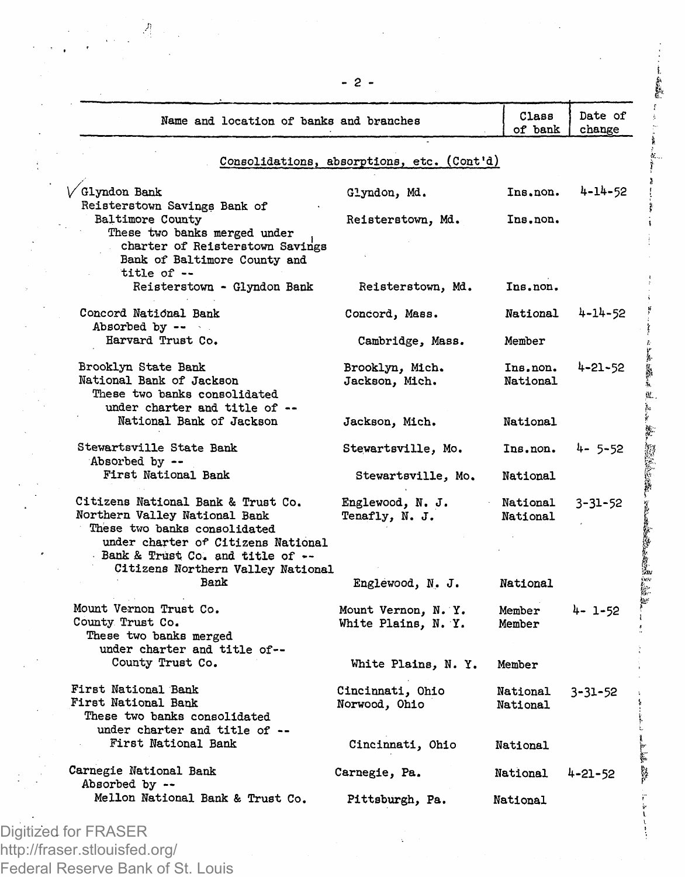| Name and location of banks and branches                                                                                                                                                                            |                                            | Class<br>of bank     | Date of<br>change |
|--------------------------------------------------------------------------------------------------------------------------------------------------------------------------------------------------------------------|--------------------------------------------|----------------------|-------------------|
|                                                                                                                                                                                                                    | Consolidations, absorptions, etc. (Cont'd) |                      |                   |
| / Glyndon Bank<br>Reisterstown Savings Bank of                                                                                                                                                                     | Glyndon, Md.                               | Ins.non.             | 4-14-52           |
| Baltimore County<br>These two banks merged under                                                                                                                                                                   | Reisterstown, Md.                          | Ins.non.             |                   |
| charter of Reisterstown Savings<br>Bank of Baltimore County and<br>title of --                                                                                                                                     |                                            |                      |                   |
| Reisterstown - Glyndon Bank                                                                                                                                                                                        | Reisterstown, Md.                          | Ins.non.             |                   |
| Concord National Bank<br>Absorbed by $-\bullet$                                                                                                                                                                    | Concord, Mass.                             | National             | 4-14-52           |
| Harvard Trust Co.                                                                                                                                                                                                  | Cambridge, Mass.                           | Member               |                   |
| Brooklyn State Bank<br>National Bank of Jackson<br>These two banks consolidated<br>under charter and title of --                                                                                                   | Brooklyn, Mich.<br>Jackson, Mich.          | National             | $Insnon.$ 4-21-52 |
| National Bank of Jackson                                                                                                                                                                                           | Jackson, Mich.                             | National             |                   |
| Stewartsville State Bank<br>Absorbed by --                                                                                                                                                                         | Stewartsville, Mo.                         | Ins.non.             | $4 - 5 - 52$      |
| First National Bank                                                                                                                                                                                                | Stewartsville, Mo.                         | National             |                   |
| Citizens National Bank & Trust Co.<br>Northern Valley National Bank<br>These two banks consolidated<br>under charter of Citizens National<br>Bank & Trust Co. and title of --<br>Citizens Northern Valley National | Englewood, N. J.<br>Tenafly, N. J.         | National<br>National | $3 - 31 - 52$     |
| Bank                                                                                                                                                                                                               | Englewood, N. J.                           | <b>National</b>      |                   |
| Mount Vernon Trust Co.<br>County Trust Co.<br>These two banks merged<br>under charter and title of--                                                                                                               | Mount Vernon, N.Y.<br>White Plains. N. Y.  | Member<br>Member     | 4- 1-52           |
| County Trust Co.                                                                                                                                                                                                   | White Plains, N. Y.                        | Member               |                   |
| First National Bank<br>First National Bank<br>These two banks consolidated<br>under charter and title of --                                                                                                        | Cincinnati, Ohio<br>Norwood, Ohio          | National<br>National | $3 - 31 - 52$     |
| First National Bank                                                                                                                                                                                                | Cincinnati, Ohio                           | National             |                   |
| Carnegie National Bank<br>Absorbed by --                                                                                                                                                                           | Carnegie, Pa.                              | National             | $4 - 21 - 52$     |
| Mellon National Bank & Trust Co.                                                                                                                                                                                   | Pittsburgh, Pa.                            | National             |                   |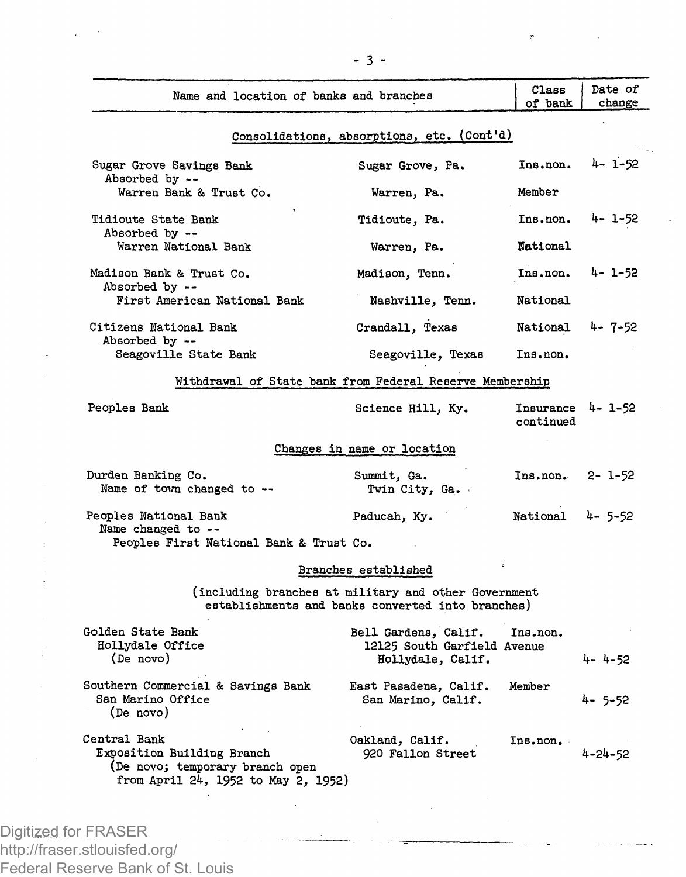| Name and location of banks and branches                                                                              |                                                                                                           | Сlавв<br>of bank               | Date of<br>change |
|----------------------------------------------------------------------------------------------------------------------|-----------------------------------------------------------------------------------------------------------|--------------------------------|-------------------|
|                                                                                                                      | Consolidations, absorptions, etc. (Cont'd)                                                                |                                |                   |
| Sugar Grove Savings Bank<br>Absorbed by --                                                                           | Sugar Grove, Pa.                                                                                          | Ins.non.                       | 4- 1-52           |
| Warren Bank & Trust Co.                                                                                              | Warren, Pa.                                                                                               | Member                         |                   |
| Tidioute State Bank<br>Absorbed by --                                                                                | Tidioute, Pa.                                                                                             | Ins.non.                       | 4-1-52            |
| Warren National Bank                                                                                                 | Warren, Pa.                                                                                               | National                       |                   |
| Madison Bank & Trust Co.<br>Absorbed by --                                                                           | Madison, Tenn.                                                                                            | Ins.non.                       | 4- 1-52           |
| First American National Bank                                                                                         | Nashville, Tenn.                                                                                          | National                       |                   |
| Citizens National Bank<br>Absorbed by --                                                                             | Crandall, Texas                                                                                           | National                       | 4-7-52            |
| Seagoville State Bank                                                                                                | Seagoville, Texas                                                                                         | Ins.non.                       |                   |
|                                                                                                                      | Withdrawal of State bank from Federal Reserve Membership                                                  |                                |                   |
| Peoples Bank                                                                                                         | Science Hill, Ky.                                                                                         | Insurance 4- 1-52<br>continued |                   |
|                                                                                                                      | Changes in name or location                                                                               |                                |                   |
| Durden Banking Co.<br>Name of town changed to --                                                                     | Summit, Ga.<br>Twin City, Ga.                                                                             | Ins.non.                       | $2 - 1 - 52$      |
| Peoples National Bank<br>Name changed to --                                                                          | Paducah, Ky.                                                                                              | National                       | 4-5-52            |
| Peoples First National Bank & Trust Co.                                                                              |                                                                                                           |                                |                   |
|                                                                                                                      | Branches established                                                                                      |                                |                   |
|                                                                                                                      | (including branches at military and other Government<br>establishments and banks converted into branches) |                                |                   |
| Golden State Bank                                                                                                    | Bell Gardens, Calif.                                                                                      | Ins.non.                       |                   |
| Hollydale Office<br>(De novo)                                                                                        | 12125 South Garfield Avenue<br>Hollydale, Calif.                                                          |                                | $4 - 4 - 52$      |
| Southern Commercial & Savings Bank<br>San Marino Office<br>(De novo)                                                 | East Pasadena, Calif.<br>San Marino, Calif.                                                               | Member                         | 4- 5-52           |
| Central Bank<br>Exposition Building Branch<br>(De novo; temporary branch open<br>from April 24, 1952 to May 2, 1952) | Oakland, Calif.<br>920 Fallon Street                                                                      | Ins. non.                      | 4-24-52           |

 $\bullet$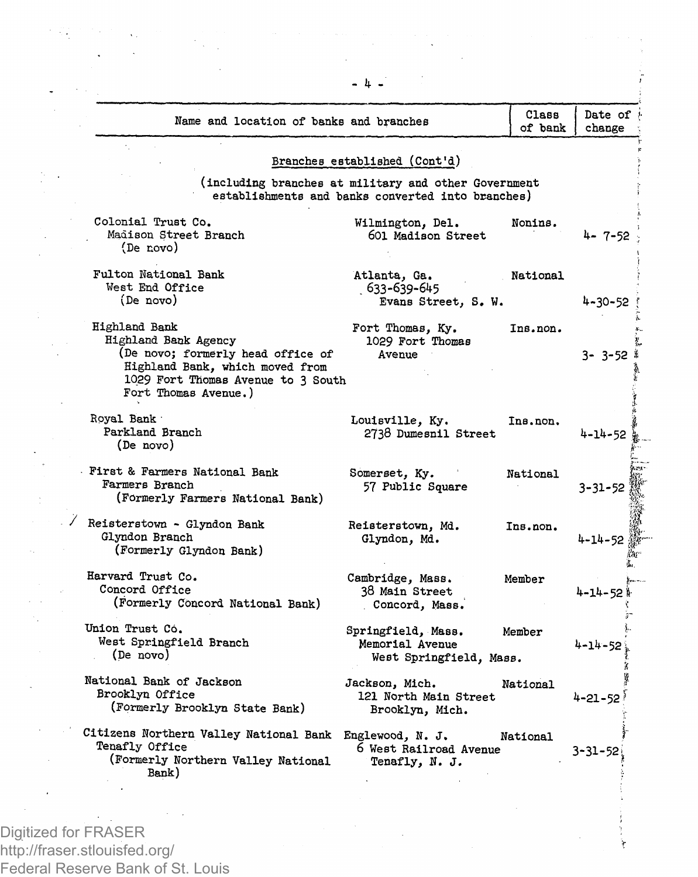| Name and location of banks and branches                                                                                                                                     |                                                                                                           | Class<br>of bank | Date of 8<br>change |
|-----------------------------------------------------------------------------------------------------------------------------------------------------------------------------|-----------------------------------------------------------------------------------------------------------|------------------|---------------------|
|                                                                                                                                                                             |                                                                                                           |                  |                     |
|                                                                                                                                                                             | Branches established (Cont'd)                                                                             |                  |                     |
|                                                                                                                                                                             | (including branches at military and other Government<br>establishments and banks converted into branches) |                  |                     |
| Colonial Trust Co.<br>Madison Street Branch<br>(De novo)                                                                                                                    | Wilmington, Del.<br>601 Madison Street                                                                    | Nonins.          | 4-7-52              |
| Fulton National Bank<br>West End Office<br>(De novo)                                                                                                                        | Atlanta, Ga.<br>. 633-639-645<br>Evans Street, S. W.                                                      | National         | 4-30-52             |
| Highland Bank<br>Highland Bank Agency<br>(De novo; formerly head office of<br>Highland Bank, which moved from<br>1029 Fort Thomas Avenue to 3 South<br>Fort Thomas Avenue.) | Fort Thomas, Ky.<br>1029 Fort Thomas<br>Avenue                                                            | Ins.non.         | $3 - 3 - 52$        |
| Royal Bank<br>Parkland Branch<br>(De novo)                                                                                                                                  | Louisville, Ky.<br>2738 Dumesnil Street                                                                   | Ins.non.         | 4-14-52             |
| First & Farmers National Bank<br>Farmers Branch<br>(Formerly Farmers National Bank)                                                                                         | Somerset, Ky.<br>57 Public Square                                                                         | National         | $3 - 31 - 52$       |
| Reisterstown - Glyndon Bank<br>Glyndon Branch<br>(Formerly Glyndon Bank)                                                                                                    | Reisterstown, Md.<br>Glyndon, Md.                                                                         | Ins.non.         | 4-14-52             |
| Harvard Trust Co.<br>Concord Office<br>(Formerly Concord National Bank)                                                                                                     | Cambridge, Mass.<br>38 Main Street<br>Concord, Mass.                                                      | Member           | 4-14-52             |
| Union Trust Co.<br>West Springfield Branch<br>(De novo)                                                                                                                     | Springfield, Mass.<br>Memorial Avenue<br>West Springfield, Mass.                                          | Member           | $4 - 14 - 52$       |
| National Bank of Jackson<br>Brooklyn Office<br>(Formerly Brooklyn State Bank)                                                                                               | Jackson, Mich.<br>121 North Main Street<br>Brooklyn, Mich.                                                | National         | $4 - 21 - 52$       |
| Citizens Northern Valley National Bank<br>Tenafly Office<br>(Formerly Northern Valley National<br>Bank)                                                                     | Englewood, N. J.<br>6 West Railroad Avenue<br>Tenafly, N. J.                                              | National         | $3 - 31 - 52$       |

بنو بالرباط

Digitized for FRASER http://fraser.stlouisfed.org/ Federal Reserve Bank of St. Louis

137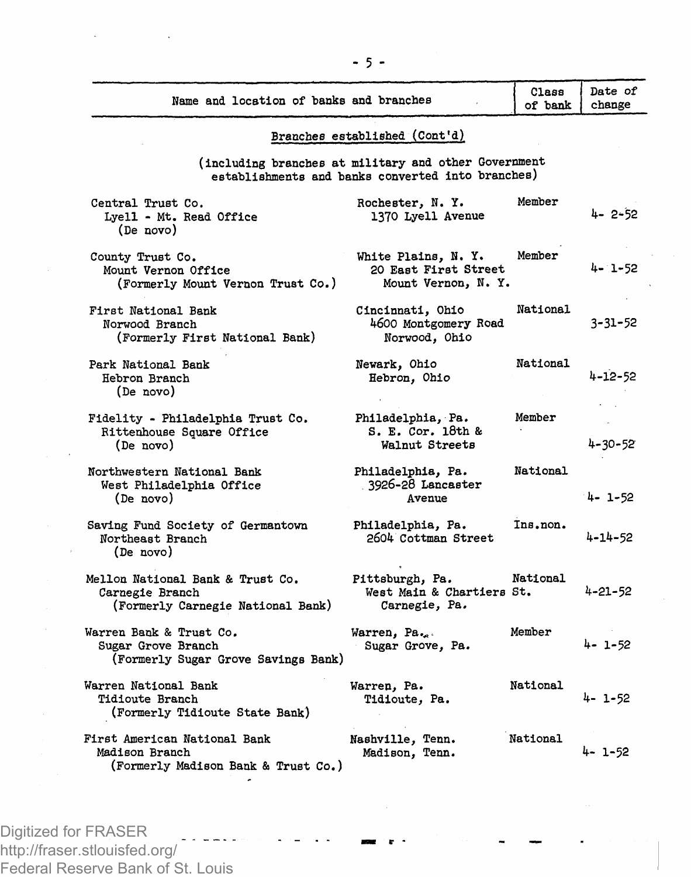| Name and location of banks and branches                                                  |                                                                                                           | Class<br>of bank | Date of<br>change |
|------------------------------------------------------------------------------------------|-----------------------------------------------------------------------------------------------------------|------------------|-------------------|
|                                                                                          | Branches established (Cont'd)                                                                             |                  |                   |
|                                                                                          | (including branches at military and other Government<br>establishments and banks converted into branches) |                  |                   |
| Central Trust Co.<br>Lyell - Mt. Read Office<br>(De novo)                                | Rochester, N. Y.<br>1370 Lyell Avenue                                                                     | Member           | 4-2-52            |
| County Trust Co.<br>Mount Vernon Office<br>(Formerly Mount Vernon Trust Co.)             | White Plains, N.Y.<br>20 East First Street<br>Mount Vernon, N. Y.                                         | Member           | 4- 1-52           |
| First National Bank<br>Norwood Branch<br>(Formerly First National Bank)                  | Cincinnati. Ohio<br>4600 Montgomery Road<br>Norwood, Ohio                                                 | National         | 3-31-52           |
| Park National Bank<br>Hebron Branch<br>(De novo)                                         | Newark, Ohio<br>Hebron, Ohio                                                                              | <b>National</b>  | 4-12-52           |
| Fidelity - Philadelphia Trust Co.<br>Rittenhouse Square Office<br>(De novo)              | Philadelphia, Pa.<br>S. E. Cor. 18th &<br>Walnut Streets                                                  | Member           | 4-30-52           |
| Northwestern National Bank<br>West Philadelphia Office<br>(De novo)                      | Philadelphia, Pa.<br>3926-28 Lancaster<br>Avenue                                                          | National         | $4 - 1 - 52$      |
| Saving Fund Society of Germantown<br>Northeast Branch<br>(De novo)                       | Philadelphia, Pa.<br>2604 Cottman Street                                                                  | Ins.non.         | 4-14-52           |
| Mellon National Bank & Trust Co.<br>Carnegie Branch<br>(Formerly Carnegie National Bank) | Pittsburgh, Pa.<br>West Main & Chartiers St.<br>Carnegie, Pa.                                             | National         | 4-21-52           |
| Warren Bank & Trust Co.<br>Sugar Grove Branch<br>(Formerly Sugar Grove Savings Bank)     | Warren, Pa.<br>Sugar Grove, Pa.                                                                           | Member           | 4- 1-52           |
| Warren National Bank<br>Tidioute Branch<br>(Formerly Tidioute State Bank)                | Warren, Pa.<br>Tidioute, Pa.                                                                              | National         | 4- 1-52           |
| First American National Bank<br>Madison Branch<br>(Formerly Madison Bank & Trust Co.)    | Nashville, Tenn.<br>Madison, Tenn.                                                                        | National         | 4- 1-52           |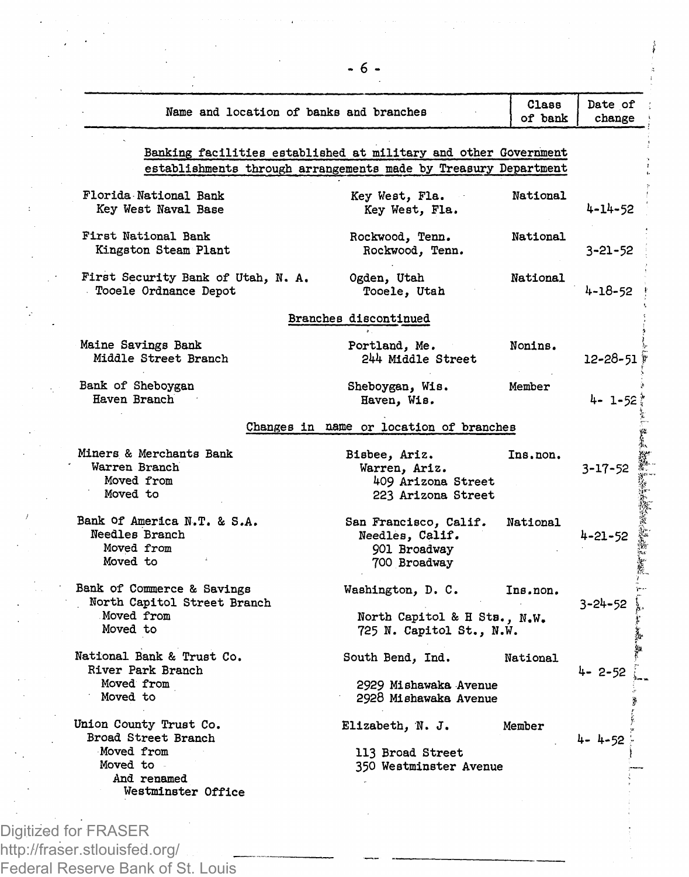| Name and location of banks and branches                                 |                                                                          | Class<br>of bank | Date of<br>change |
|-------------------------------------------------------------------------|--------------------------------------------------------------------------|------------------|-------------------|
|                                                                         |                                                                          |                  |                   |
|                                                                         | Banking facilities established at military and other Government          |                  |                   |
|                                                                         | establishments through arrangements made by Treasury Department          |                  |                   |
| Florida National Bank<br>Key West Naval Base                            | Key West, Fla.<br>Key West, Fla.                                         | National         | 4-14-52           |
| First National Bank<br>Kingston Steam Plant                             | Rockwood, Tenn.<br>Rockwood, Tenn.                                       | National         | 3-21-52           |
| First Security Bank of Utah, N. A.<br>Tooele Ordnance Depot             | Ogden, Utah<br>Tooele, Utah                                              | National         | 4-18-52           |
|                                                                         | Branches discontinued                                                    |                  |                   |
| Maine Savings Bank<br>Middle Street Branch                              | Portland, Me.<br>244 Middle Street                                       | Nonins.          | 12-28-51 #        |
| Bank of Sheboygan<br>Haven Branch                                       | Sheboygan, Wis.<br>Haven, Wis.                                           | Member           | 4- 1-52           |
|                                                                         | Changes in name or location of branches                                  |                  |                   |
| Miners & Merchants Bank                                                 | Bisbee, Ariz.                                                            | Ins.non.         |                   |
| Warren Branch                                                           | Warren, Ariz.                                                            |                  | 3-17-52           |
| Moved from                                                              | 409 Arizona Street                                                       |                  |                   |
| Moved to                                                                | 223 Arizona Street                                                       |                  |                   |
| Bank Of America N.T. & S.A.<br>Needles Branch<br>Moved from<br>Moved to | San Francisco, Calif.<br>Needles, Calif.<br>901 Broadway<br>700 Broadway | National         | 4-21-52           |
| Bank of Commerce & Savings<br>North Capitol Street Branch               | Washington, D. C.                                                        | Ins.non.         | $3 - 24 - 52$     |
| Moved from<br>Moved to                                                  | North Capitol & H Sts., N.W.<br>725 N. Capitol St., N.W.                 |                  |                   |
| National Bank & Trust Co.<br>River Park Branch                          | South Bend, Ind.                                                         | National         | 4-2-52            |
| Moved from<br>Moved to                                                  | 2929 Mishawaka Avenue<br>2928 Mishawaka Avenue                           |                  |                   |
| Union County Trust Co.                                                  | Elizabeth, N.J.                                                          | Member           |                   |
| Broad Street Branch                                                     |                                                                          |                  | 4-4-52            |
| Moved from                                                              | 113 Broad Street                                                         |                  |                   |
| Moved to                                                                | 350 Westminster Avenue                                                   |                  |                   |
| And renamed<br>Westminster Office                                       |                                                                          |                  |                   |

ł